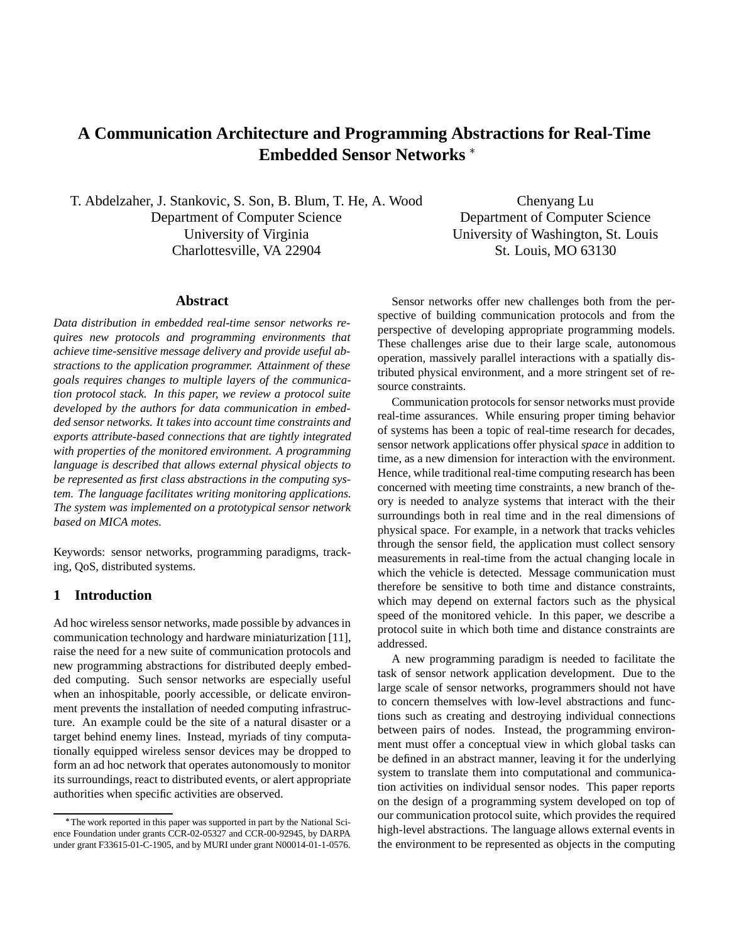# **A Communication Architecture and Programming Abstractions for Real-Time Embedded Sensor Networks**

T. Abdelzaher, J. Stankovic, S. Son, B. Blum, T. He, A. Wood Department of Computer Science University of Virginia Charlottesville, VA 22904

#### **Abstract**

*Data distribution in embedded real-time sensor networks requires new protocols and programming environments that achieve time-sensitive message delivery and provide useful abstractions to the application programmer. Attainment of these goals requires changes to multiple layers of the communication protocol stack. In this paper, we review a protocol suite developed by the authors for data communication in embedded sensor networks. It takes into account time constraints and exports attribute-based connections that are tightly integrated with properties of the monitored environment. A programming language is described that allows external physical objects to be represented as first class abstractions in the computing system. The language facilitates writing monitoring applications. The system was implemented on a prototypical sensor network based on MICA motes.*

Keywords: sensor networks, programming paradigms, tracking, QoS, distributed systems.

# **1 Introduction**

Ad hoc wireless sensor networks, made possible by advances in communication technology and hardware miniaturization [11], raise the need for a new suite of communication protocols and new programming abstractions for distributed deeply embedded computing. Such sensor networks are especially useful when an inhospitable, poorly accessible, or delicate environment prevents the installation of needed computing infrastructure. An example could be the site of a natural disaster or a target behind enemy lines. Instead, myriads of tiny computationally equipped wireless sensor devices may be dropped to form an ad hoc network that operates autonomously to monitor its surroundings, react to distributed events, or alert appropriate authorities when specific activities are observed.

Chenyang Lu Department of Computer Science University of Washington, St. Louis St. Louis, MO 63130

Sensor networks offer new challenges both from the perspective of building communication protocols and from the perspective of developing appropriate programming models. These challenges arise due to their large scale, autonomous operation, massively parallel interactions with a spatially distributed physical environment, and a more stringent set of resource constraints.

Communication protocols for sensor networks must provide real-time assurances. While ensuring proper timing behavior of systems has been a topic of real-time research for decades, sensor network applications offer physical *space* in addition to time, as a new dimension for interaction with the environment. Hence, while traditional real-time computing research has been concerned with meeting time constraints, a new branch of theory is needed to analyze systems that interact with the their surroundings both in real time and in the real dimensions of physical space. For example, in a network that tracks vehicles through the sensor field, the application must collect sensory measurements in real-time from the actual changing locale in which the vehicle is detected. Message communication must therefore be sensitive to both time and distance constraints, which may depend on external factors such as the physical speed of the monitored vehicle. In this paper, we describe a protocol suite in which both time and distance constraints are addressed.

A new programming paradigm is needed to facilitate the task of sensor network application development. Due to the large scale of sensor networks, programmers should not have to concern themselves with low-level abstractions and functions such as creating and destroying individual connections between pairs of nodes. Instead, the programming environment must offer a conceptual view in which global tasks can be defined in an abstract manner, leaving it for the underlying system to translate them into computational and communication activities on individual sensor nodes. This paper reports on the design of a programming system developed on top of our communication protocol suite, which provides the required high-level abstractions. The language allows external events in the environment to be represented as objects in the computing

The work reported in this paper was supported in part by the National Science Foundation under grants CCR-02-05327 and CCR-00-92945, by DARPA under grant F33615-01-C-1905, and by MURI under grant N00014-01-1-0576.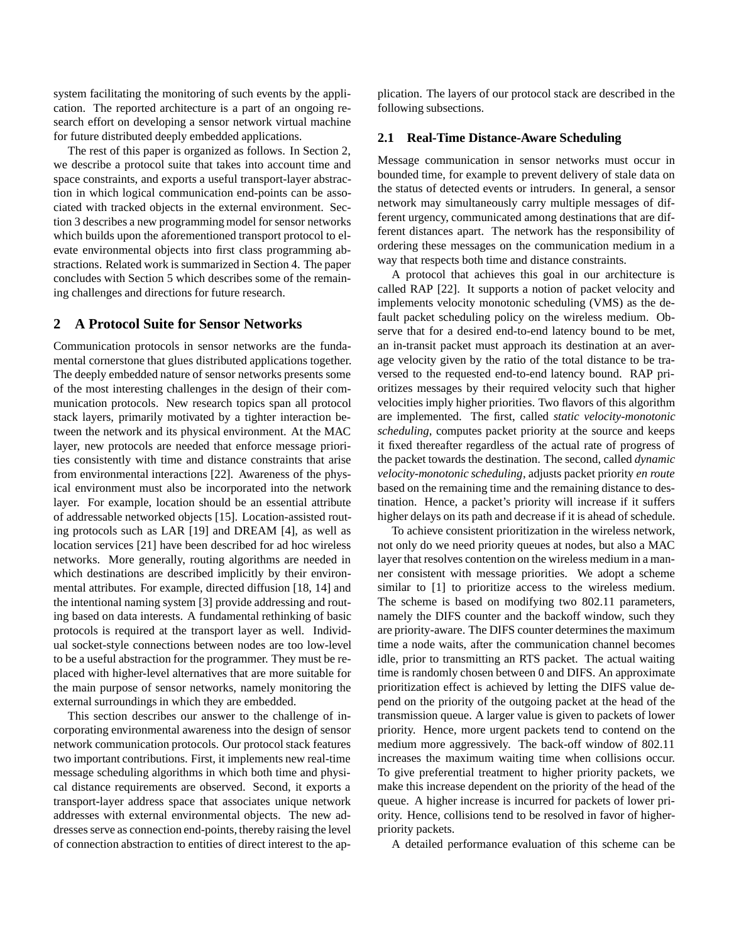system facilitating the monitoring of such events by the application. The reported architecture is a part of an ongoing research effort on developing a sensor network virtual machine for future distributed deeply embedded applications.

The rest of this paper is organized as follows. In Section 2, we describe a protocol suite that takes into account time and space constraints, and exports a useful transport-layer abstraction in which logical communication end-points can be associated with tracked objects in the external environment. Section 3 describes a new programming model for sensor networks which builds upon the aforementioned transport protocol to elevate environmental objects into first class programming abstractions. Related work is summarized in Section 4. The paper concludes with Section 5 which describes some of the remaining challenges and directions for future research.

## **2 A Protocol Suite for Sensor Networks**

Communication protocols in sensor networks are the fundamental cornerstone that glues distributed applications together. The deeply embedded nature of sensor networks presents some of the most interesting challenges in the design of their communication protocols. New research topics span all protocol stack layers, primarily motivated by a tighter interaction between the network and its physical environment. At the MAC layer, new protocols are needed that enforce message priorities consistently with time and distance constraints that arise from environmental interactions [22]. Awareness of the physical environment must also be incorporated into the network layer. For example, location should be an essential attribute of addressable networked objects [15]. Location-assisted routing protocols such as LAR [19] and DREAM [4], as well as location services [21] have been described for ad hoc wireless networks. More generally, routing algorithms are needed in which destinations are described implicitly by their environmental attributes. For example, directed diffusion [18, 14] and the intentional naming system [3] provide addressing and routing based on data interests. A fundamental rethinking of basic protocols is required at the transport layer as well. Individual socket-style connections between nodes are too low-level to be a useful abstraction for the programmer. They must be replaced with higher-level alternatives that are more suitable for the main purpose of sensor networks, namely monitoring the external surroundings in which they are embedded.

This section describes our answer to the challenge of incorporating environmental awareness into the design of sensor network communication protocols. Our protocol stack features two important contributions. First, it implements new real-time message scheduling algorithms in which both time and physical distance requirements are observed. Second, it exports a transport-layer address space that associates unique network addresses with external environmental objects. The new addresses serve as connection end-points, thereby raising the level of connection abstraction to entities of direct interest to the application. The layers of our protocol stack are described in the following subsections.

## **2.1 Real-Time Distance-Aware Scheduling**

Message communication in sensor networks must occur in bounded time, for example to prevent delivery of stale data on the status of detected events or intruders. In general, a sensor network may simultaneously carry multiple messages of different urgency, communicated among destinations that are different distances apart. The network has the responsibility of ordering these messages on the communication medium in a way that respects both time and distance constraints.

A protocol that achieves this goal in our architecture is called RAP [22]. It supports a notion of packet velocity and implements velocity monotonic scheduling (VMS) as the default packet scheduling policy on the wireless medium. Observe that for a desired end-to-end latency bound to be met, an in-transit packet must approach its destination at an average velocity given by the ratio of the total distance to be traversed to the requested end-to-end latency bound. RAP prioritizes messages by their required velocity such that higher velocities imply higher priorities. Two flavors of this algorithm are implemented. The first, called *static velocity-monotonic scheduling*, computes packet priority at the source and keeps it fixed thereafter regardless of the actual rate of progress of the packet towards the destination. The second, called *dynamic velocity-monotonic scheduling*, adjusts packet priority *en route* based on the remaining time and the remaining distance to destination. Hence, a packet's priority will increase if it suffers higher delays on its path and decrease if it is ahead of schedule.

To achieve consistent prioritization in the wireless network, not only do we need priority queues at nodes, but also a MAC layer that resolves contention on the wireless medium in a manner consistent with message priorities. We adopt a scheme similar to [1] to prioritize access to the wireless medium. The scheme is based on modifying two 802.11 parameters, namely the DIFS counter and the backoff window, such they are priority-aware. The DIFS counter determines the maximum time a node waits, after the communication channel becomes idle, prior to transmitting an RTS packet. The actual waiting time is randomly chosen between 0 and DIFS. An approximate prioritization effect is achieved by letting the DIFS value depend on the priority of the outgoing packet at the head of the transmission queue. A larger value is given to packets of lower priority. Hence, more urgent packets tend to contend on the medium more aggressively. The back-off window of 802.11 increases the maximum waiting time when collisions occur. To give preferential treatment to higher priority packets, we make this increase dependent on the priority of the head of the queue. A higher increase is incurred for packets of lower priority. Hence, collisions tend to be resolved in favor of higherpriority packets.

A detailed performance evaluation of this scheme can be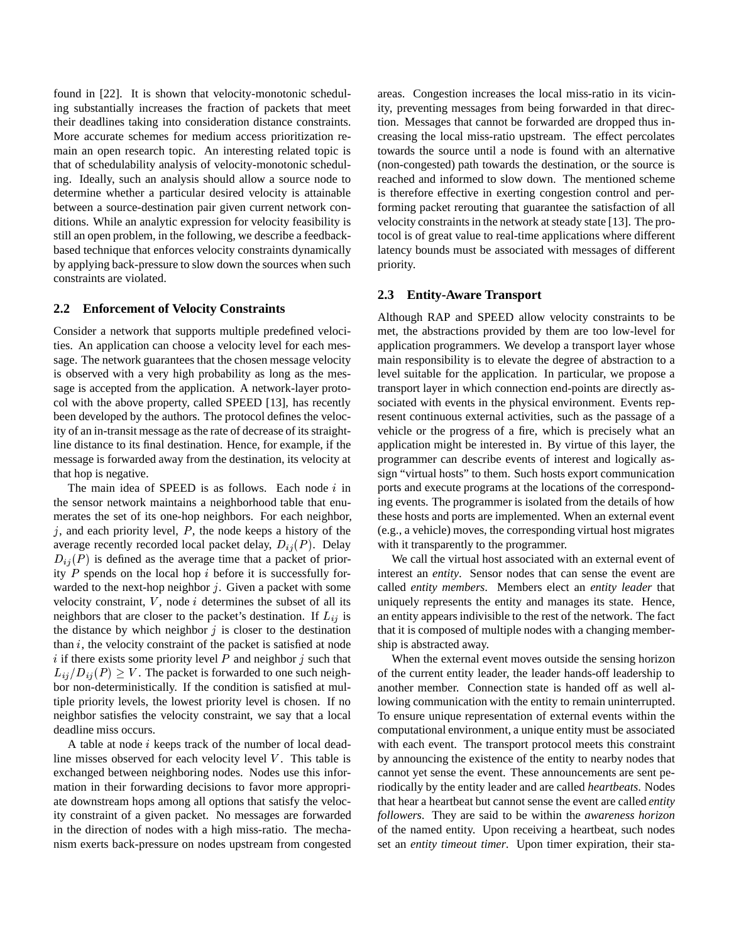found in [22]. It is shown that velocity-monotonic scheduling substantially increases the fraction of packets that meet their deadlines taking into consideration distance constraints. More accurate schemes for medium access prioritization remain an open research topic. An interesting related topic is that of schedulability analysis of velocity-monotonic scheduling. Ideally, such an analysis should allow a source node to determine whether a particular desired velocity is attainable between a source-destination pair given current network conditions. While an analytic expression for velocity feasibility is still an open problem, in the following, we describe a feedbackbased technique that enforces velocity constraints dynamically by applying back-pressure to slow down the sources when such constraints are violated.

#### **2.2 Enforcement of Velocity Constraints**

Consider a network that supports multiple predefined velocities. An application can choose a velocity level for each message. The network guarantees that the chosen message velocity is observed with a very high probability as long as the message is accepted from the application. A network-layer protocol with the above property, called SPEED [13], has recently been developed by the authors. The protocol defines the velocity of an in-transit message as the rate of decrease of its straightline distance to its final destination. Hence, for example, if the message is forwarded away from the destination, its velocity at that hop is negative.

The main idea of SPEED is as follows. Each node  $i$  in the sensor network maintains a neighborhood table that enumerates the set of its one-hop neighbors. For each neighbor,  $j$ , and each priority level,  $P$ , the node keeps a history of the average recently recorded local packet delay,  $D_{ij}(P)$ . Delay  $D_{ii}(P)$  is defined as the average time that a packet of priority  $P$  spends on the local hop  $i$  before it is successfully forwarded to the next-hop neighbor  $j$ . Given a packet with some velocity constraint,  $V$ , node  $i$  determines the subset of all its neighbors that are closer to the packet's destination. If  $L_{ij}$  is the distance by which neighbor  $j$  is closer to the destination than  $i$ , the velocity constraint of the packet is satisfied at node  $i$  if there exists some priority level  $P$  and neighbor  $j$  such that  $L_{ij}/D_{ij}(P) \geq V$ . The packet is forwarded to one such neighbor non-deterministically. If the condition is satisfied at multiple priority levels, the lowest priority level is chosen. If no neighbor satisfies the velocity constraint, we say that a local deadline miss occurs.

A table at node <sup>i</sup> keeps track of the number of local deadline misses observed for each velocity level  $V$ . This table is exchanged between neighboring nodes. Nodes use this information in their forwarding decisions to favor more appropriate downstream hops among all options that satisfy the velocity constraint of a given packet. No messages are forwarded in the direction of nodes with a high miss-ratio. The mechanism exerts back-pressure on nodes upstream from congested

areas. Congestion increases the local miss-ratio in its vicinity, preventing messages from being forwarded in that direction. Messages that cannot be forwarded are dropped thus increasing the local miss-ratio upstream. The effect percolates towards the source until a node is found with an alternative (non-congested) path towards the destination, or the source is reached and informed to slow down. The mentioned scheme is therefore effective in exerting congestion control and performing packet rerouting that guarantee the satisfaction of all velocity constraints in the network at steady state [13]. The protocol is of great value to real-time applications where different latency bounds must be associated with messages of different priority.

#### **2.3 Entity-Aware Transport**

Although RAP and SPEED allow velocity constraints to be met, the abstractions provided by them are too low-level for application programmers. We develop a transport layer whose main responsibility is to elevate the degree of abstraction to a level suitable for the application. In particular, we propose a transport layer in which connection end-points are directly associated with events in the physical environment. Events represent continuous external activities, such as the passage of a vehicle or the progress of a fire, which is precisely what an application might be interested in. By virtue of this layer, the programmer can describe events of interest and logically assign "virtual hosts" to them. Such hosts export communication ports and execute programs at the locations of the corresponding events. The programmer is isolated from the details of how these hosts and ports are implemented. When an external event (e.g., a vehicle) moves, the corresponding virtual host migrates with it transparently to the programmer.

We call the virtual host associated with an external event of interest an *entity*. Sensor nodes that can sense the event are called *entity members*. Members elect an *entity leader* that uniquely represents the entity and manages its state. Hence, an entity appears indivisible to the rest of the network. The fact that it is composed of multiple nodes with a changing membership is abstracted away.

When the external event moves outside the sensing horizon of the current entity leader, the leader hands-off leadership to another member. Connection state is handed off as well allowing communication with the entity to remain uninterrupted. To ensure unique representation of external events within the computational environment, a unique entity must be associated with each event. The transport protocol meets this constraint by announcing the existence of the entity to nearby nodes that cannot yet sense the event. These announcements are sent periodically by the entity leader and are called *heartbeats*. Nodes that hear a heartbeat but cannot sense the event are called *entity followers*. They are said to be within the *awareness horizon* of the named entity. Upon receiving a heartbeat, such nodes set an *entity timeout timer*. Upon timer expiration, their sta-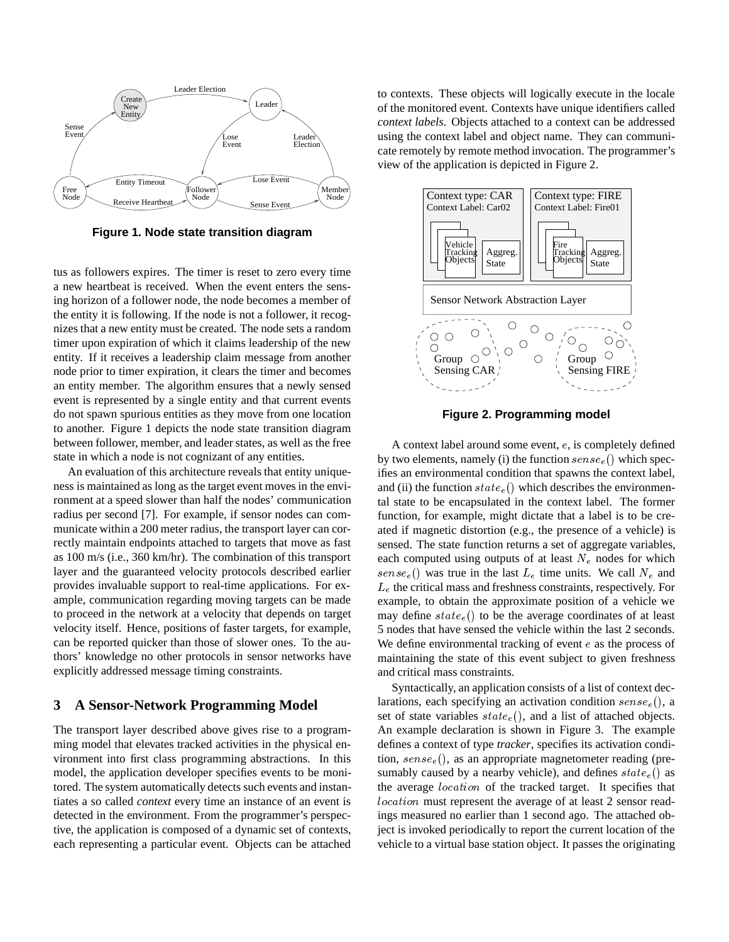

**Figure 1. Node state transition diagram**

tus as followers expires. The timer is reset to zero every time a new heartbeat is received. When the event enters the sensing horizon of a follower node, the node becomes a member of the entity it is following. If the node is not a follower, it recognizes that a new entity must be created. The node sets a random timer upon expiration of which it claims leadership of the new entity. If it receives a leadership claim message from another node prior to timer expiration, it clears the timer and becomes an entity member. The algorithm ensures that a newly sensed event is represented by a single entity and that current events do not spawn spurious entities as they move from one location to another. Figure 1 depicts the node state transition diagram between follower, member, and leader states, as well as the free state in which a node is not cognizant of any entities.

An evaluation of this architecture reveals that entity uniqueness is maintained as long as the target event moves in the environment at a speed slower than half the nodes' communication radius per second [7]. For example, if sensor nodes can communicate within a 200 meter radius, the transport layer can correctly maintain endpoints attached to targets that move as fast as 100 m/s (i.e., 360 km/hr). The combination of this transport layer and the guaranteed velocity protocols described earlier provides invaluable support to real-time applications. For example, communication regarding moving targets can be made to proceed in the network at a velocity that depends on target velocity itself. Hence, positions of faster targets, for example, can be reported quicker than those of slower ones. To the authors' knowledge no other protocols in sensor networks have explicitly addressed message timing constraints.

# **3 A Sensor-Network Programming Model**

The transport layer described above gives rise to a programming model that elevates tracked activities in the physical environment into first class programming abstractions. In this model, the application developer specifies events to be monitored. The system automatically detects such events and instantiates a so called *context* every time an instance of an event is detected in the environment. From the programmer's perspective, the application is composed of a dynamic set of contexts, each representing a particular event. Objects can be attached

to contexts. These objects will logically execute in the locale of the monitored event. Contexts have unique identifiers called *context labels*. Objects attached to a context can be addressed using the context label and object name. They can communicate remotely by remote method invocation. The programmer's view of the application is depicted in Figure 2.



**Figure 2. Programming model**

A context label around some event, <sup>e</sup>, is completely defined by two elements, namely (i) the function  $sense_e()$  which specifies an environmental condition that spawns the context label, and (ii) the function  $state_e()$  which describes the environmental state to be encapsulated in the context label. The former function, for example, might dictate that a label is to be created if magnetic distortion (e.g., the presence of a vehicle) is sensed. The state function returns a set of aggregate variables, each computed using outputs of at least  $N_e$  nodes for which  $sense_e()$  was true in the last  $L_e$  time units. We call  $N_e$  and  $L_e$  the critical mass and freshness constraints, respectively. For example, to obtain the approximate position of a vehicle we may define  $state_e()$  to be the average coordinates of at least 5 nodes that have sensed the vehicle within the last 2 seconds. We define environmental tracking of event  $e$  as the process of maintaining the state of this event subject to given freshness and critical mass constraints.

Syntactically, an application consists of a list of context declarations, each specifying an activation condition  $sense_e()$ , a set of state variables  $state_e()$ , and a list of attached objects. An example declaration is shown in Figure 3. The example defines a context of type *tracker*, specifies its activation condition,  $sense_e()$ , as an appropriate magnetometer reading (presumably caused by a nearby vehicle), and defines  $state_e()$  as the average location of the tracked target. It specifies that location must represent the average of at least 2 sensor readings measured no earlier than 1 second ago. The attached object is invoked periodically to report the current location of the vehicle to a virtual base station object. It passes the originating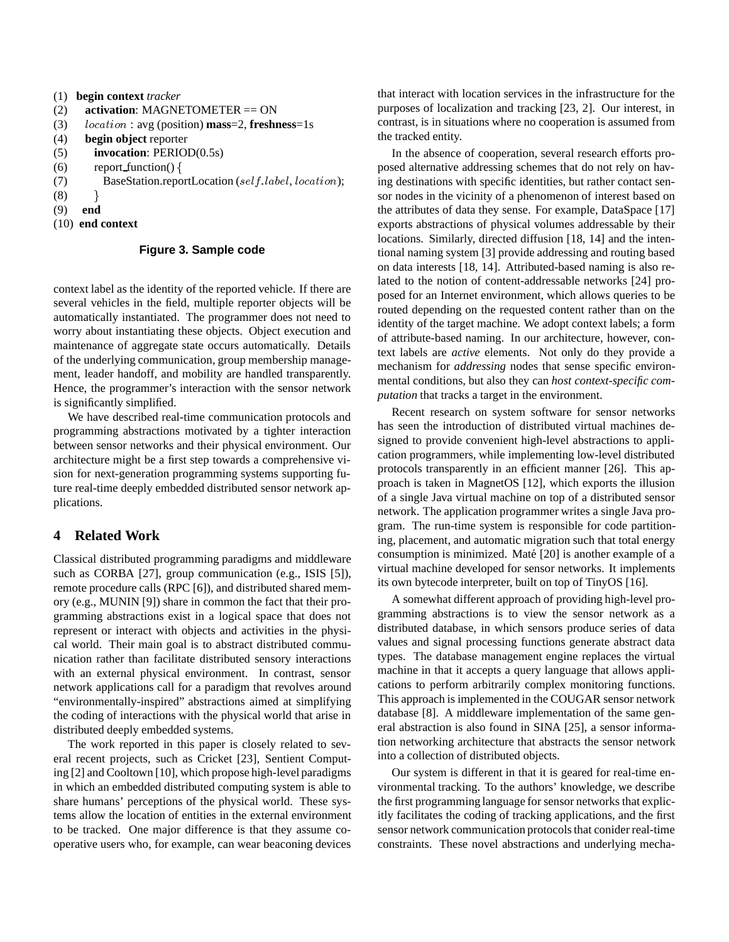- (1) **begin context** *tracker*
- (2) **activation**: MAGNETOMETER == ON
- (3) location : avg (position) **mass**=2, **freshness**=1s
- (4) **begin object** reporter
- (5) **invocation**: PERIOD(0.5s)
- (6) report function() {
- (7) BaseStation.reportLocation (self.label, location);
- $(8)$
- (9) **end**
- (10) **end context**

#### **Figure 3. Sample code**

context label as the identity of the reported vehicle. If there are several vehicles in the field, multiple reporter objects will be automatically instantiated. The programmer does not need to worry about instantiating these objects. Object execution and maintenance of aggregate state occurs automatically. Details of the underlying communication, group membership management, leader handoff, and mobility are handled transparently. Hence, the programmer's interaction with the sensor network is significantly simplified.

We have described real-time communication protocols and programming abstractions motivated by a tighter interaction between sensor networks and their physical environment. Our architecture might be a first step towards a comprehensive vision for next-generation programming systems supporting future real-time deeply embedded distributed sensor network applications.

# **4 Related Work**

Classical distributed programming paradigms and middleware such as CORBA [27], group communication (e.g., ISIS [5]), remote procedure calls (RPC [6]), and distributed shared memory (e.g., MUNIN [9]) share in common the fact that their programming abstractions exist in a logical space that does not represent or interact with objects and activities in the physical world. Their main goal is to abstract distributed communication rather than facilitate distributed sensory interactions with an external physical environment. In contrast, sensor network applications call for a paradigm that revolves around "environmentally-inspired" abstractions aimed at simplifying the coding of interactions with the physical world that arise in distributed deeply embedded systems.

The work reported in this paper is closely related to several recent projects, such as Cricket [23], Sentient Computing [2] and Cooltown [10], which propose high-level paradigms in which an embedded distributed computing system is able to share humans' perceptions of the physical world. These systems allow the location of entities in the external environment to be tracked. One major difference is that they assume cooperative users who, for example, can wear beaconing devices

that interact with location services in the infrastructure for the purposes of localization and tracking [23, 2]. Our interest, in contrast, is in situations where no cooperation is assumed from the tracked entity.

In the absence of cooperation, several research efforts proposed alternative addressing schemes that do not rely on having destinations with specific identities, but rather contact sensor nodes in the vicinity of a phenomenon of interest based on the attributes of data they sense. For example, DataSpace [17] exports abstractions of physical volumes addressable by their locations. Similarly, directed diffusion [18, 14] and the intentional naming system [3] provide addressing and routing based on data interests [18, 14]. Attributed-based naming is also related to the notion of content-addressable networks [24] proposed for an Internet environment, which allows queries to be routed depending on the requested content rather than on the identity of the target machine. We adopt context labels; a form of attribute-based naming. In our architecture, however, context labels are *active* elements. Not only do they provide a mechanism for *addressing* nodes that sense specific environmental conditions, but also they can *host context-specific computation* that tracks a target in the environment.

Recent research on system software for sensor networks has seen the introduction of distributed virtual machines designed to provide convenient high-level abstractions to application programmers, while implementing low-level distributed protocols transparently in an efficient manner [26]. This approach is taken in MagnetOS [12], which exports the illusion of a single Java virtual machine on top of a distributed sensor network. The application programmer writes a single Java program. The run-time system is responsible for code partitioning, placement, and automatic migration such that total energy consumption is minimized. Maté [20] is another example of a virtual machine developed for sensor networks. It implements its own bytecode interpreter, built on top of TinyOS [16].

A somewhat different approach of providing high-level programming abstractions is to view the sensor network as a distributed database, in which sensors produce series of data values and signal processing functions generate abstract data types. The database management engine replaces the virtual machine in that it accepts a query language that allows applications to perform arbitrarily complex monitoring functions. This approach is implemented in the COUGAR sensor network database [8]. A middleware implementation of the same general abstraction is also found in SINA [25], a sensor information networking architecture that abstracts the sensor network into a collection of distributed objects.

Our system is different in that it is geared for real-time environmental tracking. To the authors' knowledge, we describe the first programming language for sensor networks that explicitly facilitates the coding of tracking applications, and the first sensor network communication protocols that conider real-time constraints. These novel abstractions and underlying mecha